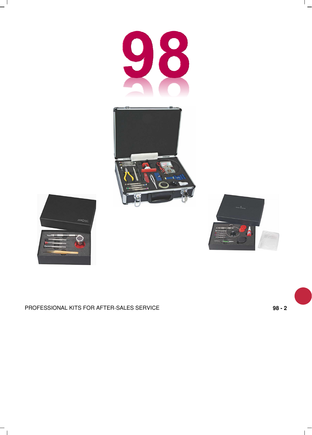





 $\overline{\phantom{a}}$ 

 $^{-}$  1



## PROFESSIONAL KITS FOR AFTER-SALES SERVICE **98 - 2**